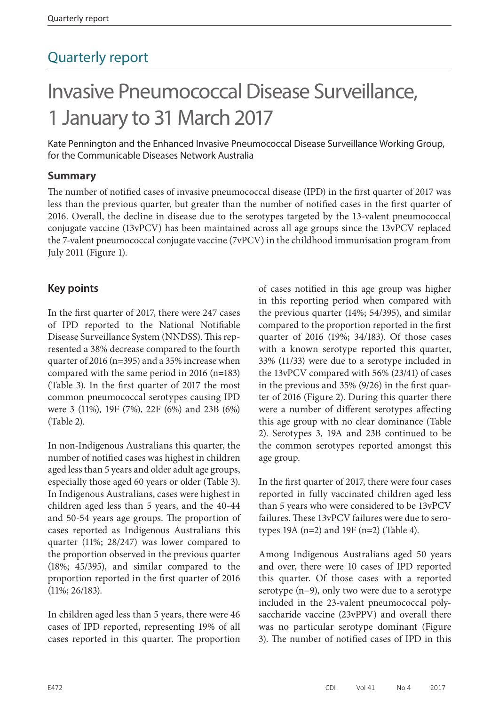## Quarterly report

# Invasive Pneumococcal Disease Surveillance, 1 January to 31 March 2017

Kate Pennington and the Enhanced Invasive Pneumococcal Disease Surveillance Working Group, for the Communicable Diseases Network Australia

#### **Summary**

The number of notified cases of invasive pneumococcal disease (IPD) in the first quarter of 2017 was less than the previous quarter, but greater than the number of notified cases in the first quarter of 2016. Overall, the decline in disease due to the serotypes targeted by the 13-valent pneumococcal conjugate vaccine (13vPCV) has been maintained across all age groups since the 13vPCV replaced the 7-valent pneumococcal conjugate vaccine (7vPCV) in the childhood immunisation program from July 2011 (Figure 1).

#### **Key points**

In the first quarter of 2017, there were 247 cases of IPD reported to the National Notifiable Disease Surveillance System (NNDSS). This represented a 38% decrease compared to the fourth quarter of 2016 (n=395) and a 35% increase when compared with the same period in 2016 (n=183) (Table 3). In the first quarter of 2017 the most common pneumococcal serotypes causing IPD were 3 (11%), 19F (7%), 22F (6%) and 23B (6%) (Table 2).

In non-Indigenous Australians this quarter, the number of notified cases was highest in children aged less than 5 years and older adult age groups, especially those aged 60 years or older (Table 3). In Indigenous Australians, cases were highest in children aged less than 5 years, and the 40-44 and 50-54 years age groups. The proportion of cases reported as Indigenous Australians this quarter (11%; 28/247) was lower compared to the proportion observed in the previous quarter (18%; 45/395), and similar compared to the proportion reported in the first quarter of 2016 (11%; 26/183).

In children aged less than 5 years, there were 46 cases of IPD reported, representing 19% of all cases reported in this quarter. The proportion of cases notified in this age group was higher in this reporting period when compared with the previous quarter (14%; 54/395), and similar compared to the proportion reported in the first quarter of 2016 (19%; 34/183). Of those cases with a known serotype reported this quarter, 33% (11/33) were due to a serotype included in the 13vPCV compared with 56% (23/41) of cases in the previous and 35% (9/26) in the first quarter of 2016 (Figure 2). During this quarter there were a number of different serotypes affecting this age group with no clear dominance (Table 2). Serotypes 3, 19A and 23B continued to be the common serotypes reported amongst this age group.

In the first quarter of 2017, there were four cases reported in fully vaccinated children aged less than 5 years who were considered to be 13vPCV failures. These 13vPCV failures were due to serotypes 19A (n=2) and 19F (n=2) (Table 4).

Among Indigenous Australians aged 50 years and over, there were 10 cases of IPD reported this quarter. Of those cases with a reported serotype (n=9), only two were due to a serotype included in the 23-valent pneumococcal polysaccharide vaccine (23vPPV) and overall there was no particular serotype dominant (Figure 3). The number of notified cases of IPD in this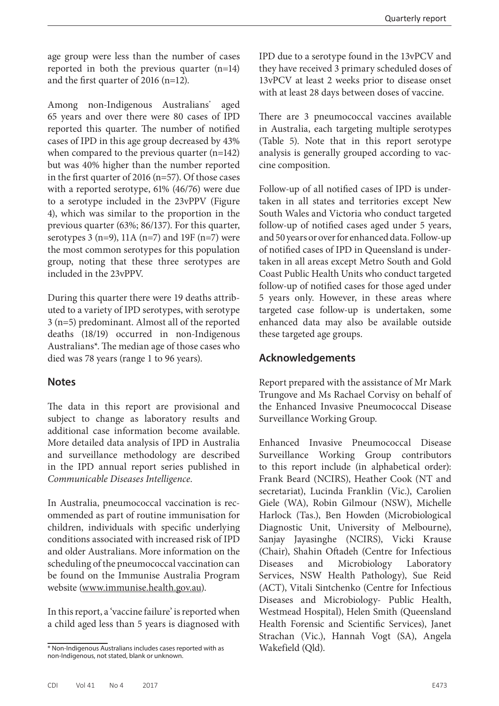age group were less than the number of cases reported in both the previous quarter (n=14) and the first quarter of 2016 (n=12).

Among non-Indigenous Australians\* aged 65 years and over there were 80 cases of IPD reported this quarter. The number of notified cases of IPD in this age group decreased by 43% when compared to the previous quarter (n=142) but was 40% higher than the number reported in the first quarter of 2016 (n=57). Of those cases with a reported serotype, 61% (46/76) were due to a serotype included in the 23vPPV (Figure 4), which was similar to the proportion in the previous quarter (63%; 86/137). For this quarter, serotypes 3 (n=9), 11A (n=7) and 19F (n=7) were the most common serotypes for this population group, noting that these three serotypes are included in the 23vPPV.

During this quarter there were 19 deaths attributed to a variety of IPD serotypes, with serotype 3 (n=5) predominant. Almost all of the reported deaths (18/19) occurred in non-Indigenous Australians\*. The median age of those cases who died was 78 years (range 1 to 96 years).

#### **Notes**

The data in this report are provisional and subject to change as laboratory results and additional case information become available. More detailed data analysis of IPD in Australia and surveillance methodology are described in the IPD annual report series published in *Communicable Diseases Intelligence*.

In Australia, pneumococcal vaccination is recommended as part of routine immunisation for children, individuals with specific underlying conditions associated with increased risk of IPD and older Australians. More information on the scheduling of the pneumococcal vaccination can be found on the Immunise Australia Program website [\(www.immunise.health.gov.au\)](www.immunise.health.gov.au).

In this report, a 'vaccine failure' is reported when a child aged less than 5 years is diagnosed with IPD due to a serotype found in the 13vPCV and they have received 3 primary scheduled doses of 13vPCV at least 2 weeks prior to disease onset with at least 28 days between doses of vaccine.

There are 3 pneumococcal vaccines available in Australia, each targeting multiple serotypes (Table 5). Note that in this report serotype analysis is generally grouped according to vaccine composition.

Follow-up of all notified cases of IPD is undertaken in all states and territories except New South Wales and Victoria who conduct targeted follow-up of notified cases aged under 5 years, and 50 years or over for enhanced data. Follow-up of notified cases of IPD in Queensland is undertaken in all areas except Metro South and Gold Coast Public Health Units who conduct targeted follow-up of notified cases for those aged under 5 years only. However, in these areas where targeted case follow-up is undertaken, some enhanced data may also be available outside these targeted age groups.

#### **Acknowledgements**

Report prepared with the assistance of Mr Mark Trungove and Ms Rachael Corvisy on behalf of the Enhanced Invasive Pneumococcal Disease Surveillance Working Group.

Enhanced Invasive Pneumococcal Disease Surveillance Working Group contributors to this report include (in alphabetical order): Frank Beard (NCIRS), Heather Cook (NT and secretariat), Lucinda Franklin (Vic.), Carolien Giele (WA), Robin Gilmour (NSW), Michelle Harlock (Tas.), Ben Howden (Microbiological Diagnostic Unit, University of Melbourne), Sanjay Jayasinghe (NCIRS), Vicki Krause (Chair), Shahin Oftadeh (Centre for Infectious Diseases and Microbiology Laboratory Services, NSW Health Pathology), Sue Reid (ACT), Vitali Sintchenko (Centre for Infectious Diseases and Microbiology- Public Health, Westmead Hospital), Helen Smith (Queensland Health Forensic and Scientific Services), Janet Strachan (Vic.), Hannah Vogt (SA), Angela Wakefield (Qld).

<sup>\*</sup> Non-Indigenous Australians includes cases reported with as non-Indigenous, not stated, blank or unknown.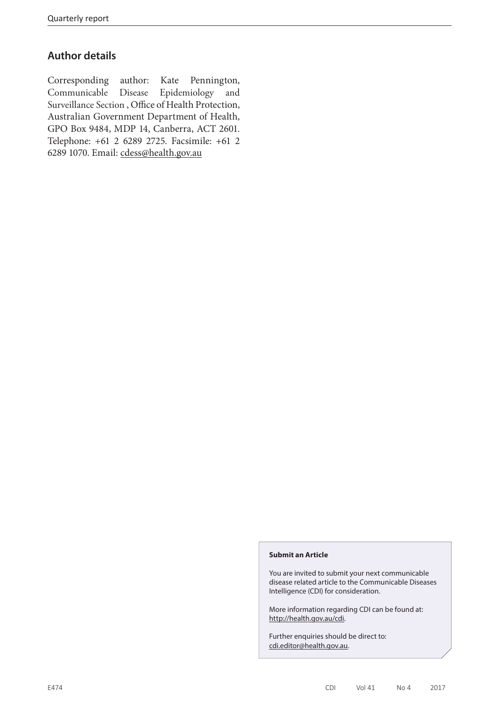#### **Author details**

Corresponding author: Kate Pennington, Communicable Disease Epidemiology and Surveillance Section , Office of Health Protection, Australian Government Department of Health, GPO Box 9484, MDP 14, Canberra, ACT 2601. Telephone: +61 2 6289 2725. Facsimile: +61 2 6289 1070. Email: [cdess@health.gov.au](mailto:cdess%40health.gov.au?subject=)

#### **Submit an Article**

You are invited to submit your next communicable disease related article to the Communicable Diseases Intelligence (CDI) for consideration.

More information regarding CDI can be found at: http://health.gov.au/cdi.

Further enquiries should be direct to: cdi.editor@health.gov.au.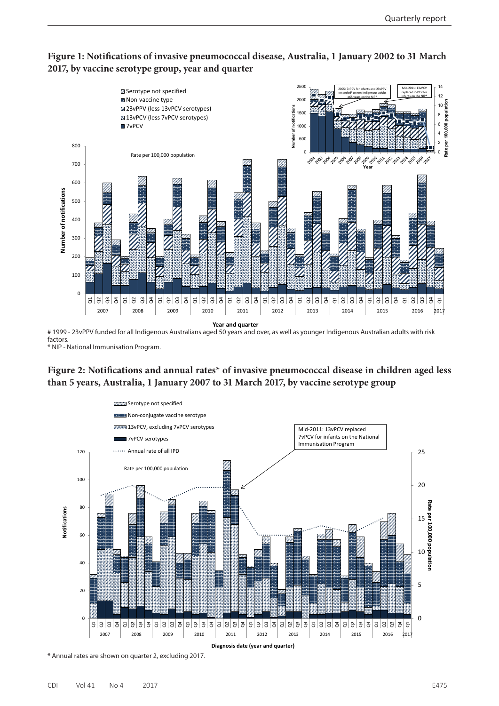



factors. \* NIP - National Immunisation Program.





\* Annual rates are shown on quarter 2, excluding 2017.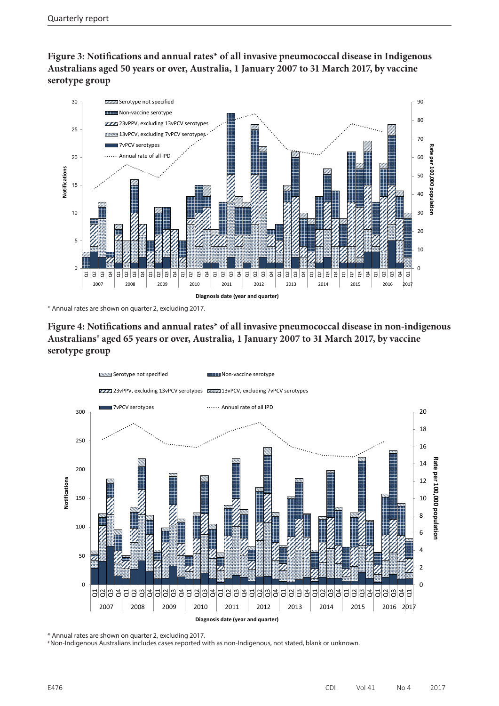**Figure 3: Notifications and annual rates\* of all invasive pneumococcal disease in Indigenous Australians aged 50 years or over, Australia, 1 January 2007 to 31 March 2017, by vaccine serotype group**



\* Annual rates are shown on quarter 2, excluding 2017.

#### **Figure 4: Notifications and annual rates\* of all invasive pneumococcal disease in non-indigenous Australians**#  **aged 65 years or over, Australia, 1 January 2007 to 31 March 2017, by vaccine serotype group**



\* Annual rates are shown on quarter 2, excluding 2017.

# Non-Indigenous Australians includes cases reported with as non-Indigenous, not stated, blank or unknown.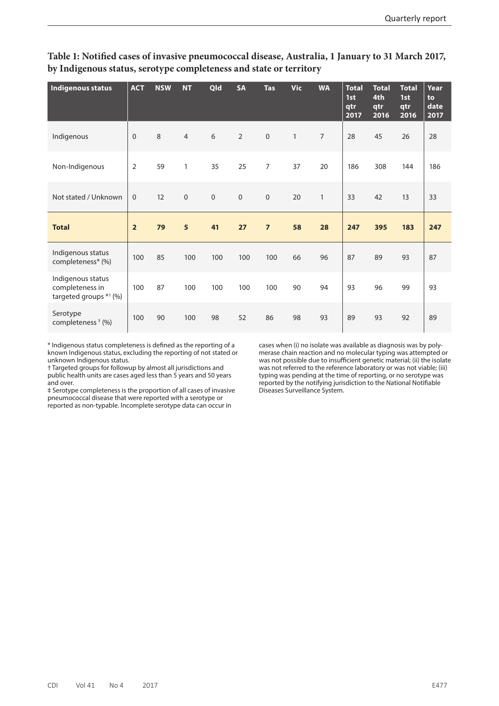| <b>Indigenous status</b>                                       | <b>ACT</b>     | <b>NSW</b> | <b>NT</b>      | <b>Qld</b>   | <b>SA</b>      | <b>Tas</b>          | <b>Vic</b>   | <b>WA</b>      | <b>Total</b><br>1st<br>qtr<br>2017 | <b>Total</b><br>4th<br>qtr<br>2016 | <b>Total</b><br>1st<br>qtr<br>2016 | <b>Year</b><br>to<br>date<br>2017 |
|----------------------------------------------------------------|----------------|------------|----------------|--------------|----------------|---------------------|--------------|----------------|------------------------------------|------------------------------------|------------------------------------|-----------------------------------|
| Indigenous                                                     | $\mathbf{0}$   | 8          | $\overline{4}$ | 6            | $\overline{2}$ | $\mathsf{O}\xspace$ | $\mathbf{1}$ | $\overline{7}$ | 28                                 | 45                                 | 26                                 | 28                                |
| Non-Indigenous                                                 | $\sqrt{2}$     | 59         | $\mathbf{1}$   | 35           | 25             | $\overline{7}$      | 37           | 20             | 186                                | 308                                | 144                                | 186                               |
| Not stated / Unknown                                           | $\mathbf{0}$   | 12         | $\mathbf 0$    | $\mathbf{0}$ | $\mathbf 0$    | $\mathbf{0}$        | 20           | $\mathbf{1}$   | 33                                 | 42                                 | 13                                 | 33                                |
|                                                                |                |            |                |              |                |                     |              |                |                                    |                                    |                                    |                                   |
| <b>Total</b>                                                   | $\overline{2}$ | 79         | 5              | 41           | 27             | $\overline{7}$      | 58           | 28             | 247                                | 395                                | 183                                | 247                               |
| Indigenous status<br>completeness* (%)                         | 100            | 85         | 100            | 100          | 100            | 100                 | 66           | 96             | 87                                 | 89                                 | 93                                 | 87                                |
| Indigenous status<br>completeness in<br>targeted groups ** (%) | 100            | 87         | 100            | 100          | 100            | 100                 | 90           | 94             | 93                                 | 96                                 | 99                                 | 93                                |

**Table 1: Notified cases of invasive pneumococcal disease, Australia, 1 January to 31 March 2017, by Indigenous status, serotype completeness and state or territory**

\* Indigenous status completeness is defined as the reporting of a known Indigenous status, excluding the reporting of not stated or unknown Indigenous status.

† Targeted groups for followup by almost all jurisdictions and public health units are cases aged less than 5 years and 50 years and over.

‡ Serotype completeness is the proportion of all cases of invasive pneumococcal disease that were reported with a serotype or reported as non-typable. Incomplete serotype data can occur in

cases when (i) no isolate was available as diagnosis was by polymerase chain reaction and no molecular typing was attempted or was not possible due to insufficient genetic material; (ii) the isolate was not referred to the reference laboratory or was not viable; (iii) typing was pending at the time of reporting, or no serotype was reported by the notifying jurisdiction to the National Notifiable Diseases Surveillance System.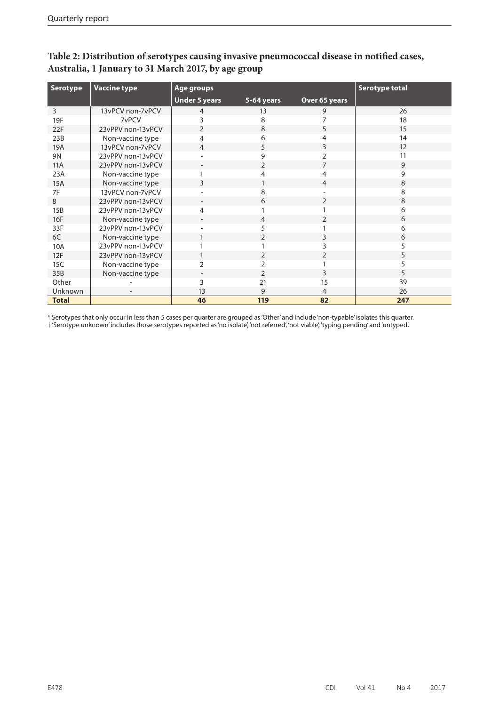| <b>Serotype</b> | <b>Vaccine type</b>      | Age groups               |                |               | <b>Serotype total</b> |
|-----------------|--------------------------|--------------------------|----------------|---------------|-----------------------|
|                 |                          | <b>Under 5 years</b>     | 5-64 years     | Over 65 years |                       |
| 3               | 13vPCV non-7vPCV         | 4                        | 13             | 9             | 26                    |
| 19F             | 7vPCV                    | 3                        | 8              |               | 18                    |
| 22F             | 23vPPV non-13vPCV        | $\overline{2}$           | 8              | 5             | 15                    |
| 23B             | Non-vaccine type         | 4                        | 6              |               | 14                    |
| 19A             | 13vPCV non-7vPCV         | 4                        | 5              | 3             | 12                    |
| 9N              | 23vPPV non-13vPCV        | $\overline{\phantom{a}}$ | 9              |               | 11                    |
| 11A             | 23vPPV non-13vPCV        | $\overline{\phantom{a}}$ | $\overline{2}$ | 7             | 9                     |
| 23A             | Non-vaccine type         |                          | Δ              | 4             | 9                     |
| 15A             | Non-vaccine type         | 3                        |                | 4             | 8                     |
| 7F              | 13vPCV non-7vPCV         |                          | 8              |               | 8                     |
| 8               | 23vPPV non-13vPCV        | $\overline{\phantom{a}}$ | 6              | 2             | 8                     |
| 15B             | 23vPPV non-13vPCV        | 4                        |                |               | 6                     |
| 16F             | Non-vaccine type         | $\overline{\phantom{a}}$ | 4              | C.            | 6                     |
| 33F             | 23vPPV non-13vPCV        |                          | 5              |               | 6                     |
| 6C              | Non-vaccine type         |                          | 2              | 3             | 6                     |
| 10A             | 23vPPV non-13vPCV        |                          |                | 3             | 5                     |
| 12F             | 23vPPV non-13vPCV        |                          | 2              | 2             | 5                     |
| 15C             | Non-vaccine type         | $\overline{2}$           | 2              |               | 5                     |
| 35B             | Non-vaccine type         | $\overline{\phantom{a}}$ | $\overline{2}$ | 3             | 5                     |
| Other           |                          | 3                        | 21             | 15            | 39                    |
| Unknown         | $\overline{\phantom{a}}$ | 13                       | 9              | 4             | 26                    |
| <b>Total</b>    |                          | 46                       | 119            | 82            | 247                   |

**Table 2: Distribution of serotypes causing invasive pneumococcal disease in notified cases, Australia, 1 January to 31 March 2017, by age group**

\* Serotypes that only occur in less than 5 cases per quarter are grouped as 'Other' and include 'non-typable' isolates this quarter. † 'Serotype unknown' includes those serotypes reported as 'no isolate', 'not referred', 'not viable', 'typing pending' and 'untyped'.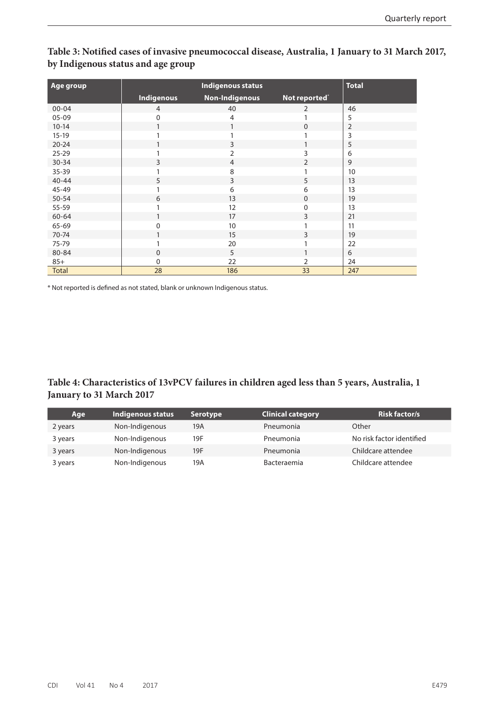| Age group    |                   | <b>Total</b>          |                  |                |
|--------------|-------------------|-----------------------|------------------|----------------|
|              | <b>Indigenous</b> | <b>Non-Indigenous</b> | Not reported*    |                |
| $00 - 04$    | $\overline{4}$    | 40                    | 2                | 46             |
| $05-09$      | $\mathbf 0$       | $\overline{4}$        | 1                | 5              |
| $10 - 14$    | 1                 | 1                     | $\mathbf 0$      | $\overline{2}$ |
| $15-19$      |                   |                       |                  | 3              |
| $20 - 24$    |                   | 3                     |                  | 5              |
| $25 - 29$    |                   | $\overline{2}$        | 3                | 6              |
| 30-34        | 3                 | $\overline{4}$        | 2                | 9              |
| 35-39        |                   | 8                     |                  | 10             |
| $40 - 44$    | 5                 | 3                     | 5                | 13             |
| 45-49        |                   | 6                     | 6                | 13             |
| 50-54        | 6                 | 13                    | $\boldsymbol{0}$ | 19             |
| 55-59        |                   | 12                    | 0                | 13             |
| $60 - 64$    | 1                 | 17                    | $\mathsf{3}$     | 21             |
| 65-69        | 0                 | 10                    |                  | 11             |
| 70-74        |                   | 15                    | 3                | 19             |
| 75-79        |                   | 20                    |                  | 22             |
| 80-84        | $\Omega$          | 5                     | 1                | 6              |
| $85+$        | 0                 | 22                    | 2                | 24             |
| <b>Total</b> | 28                | 186                   | 33               | 247            |

**Table 3: Notified cases of invasive pneumococcal disease, Australia, 1 January to 31 March 2017, by Indigenous status and age group**

\* Not reported is defined as not stated, blank or unknown Indigenous status.

#### **Table 4: Characteristics of 13vPCV failures in children aged less than 5 years, Australia, 1 January to 31 March 2017**

| Age     | Indigenous status | <b>Serotype</b> | <b>Clinical category</b> | <b>Risk factor/s</b>      |
|---------|-------------------|-----------------|--------------------------|---------------------------|
| 2 years | Non-Indigenous    | 19A             | Pneumonia                | Other                     |
| 3 years | Non-Indigenous    | 19F             | Pneumonia                | No risk factor identified |
| 3 years | Non-Indigenous    | 19F             | Pneumonia                | Childcare attendee        |
| 3 years | Non-Indigenous    | 19A             | Bacteraemia              | Childcare attendee        |